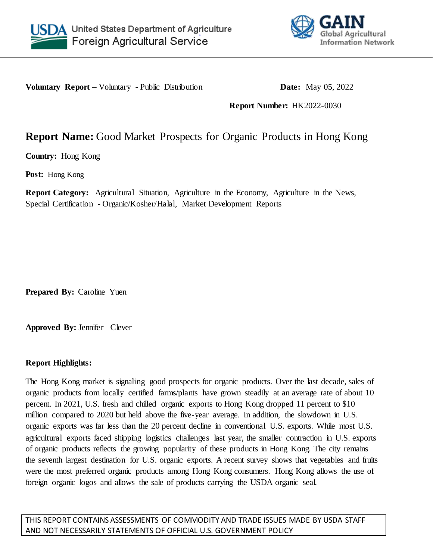



**Voluntary Report** – Voluntary - Public Distribution **Date:** May 05, 2022

**Report Number:** HK2022-0030

# **Report Name:** Good Market Prospects for Organic Products in Hong Kong

**Country:** Hong Kong

**Post:** Hong Kong

**Report Category:** Agricultural Situation, Agriculture in the Economy, Agriculture in the News, Special Certification - Organic/Kosher/Halal, Market Development Reports

**Prepared By:** Caroline Yuen

**Approved By:** Jennifer Clever

### **Report Highlights:**

The Hong Kong market is signaling good prospects for organic products. Over the last decade, sales of organic products from locally certified farms/plants have grown steadily at an average rate of about 10 percent. In 2021, U.S. fresh and chilled organic exports to Hong Kong dropped 11 percent to \$10 million compared to 2020 but held above the five-year average. In addition, the slowdown in U.S. organic exports was far less than the 20 percent decline in conventional U.S. exports. While most U.S. agricultural exports faced shipping logistics challenges last year, the smaller contraction in U.S. exports of organic products reflects the growing popularity of these products in Hong Kong. The city remains the seventh largest destination for U.S. organic exports. A recent survey shows that vegetables and fruits were the most preferred organic products among Hong Kong consumers. Hong Kong allows the use of foreign organic logos and allows the sale of products carrying the USDA organic seal.

THIS REPORT CONTAINS ASSESSMENTS OF COMMODITY AND TRADE ISSUES MADE BY USDA STAFF AND NOT NECESSARILY STATEMENTS OF OFFICIAL U.S. GOVERNMENT POLICY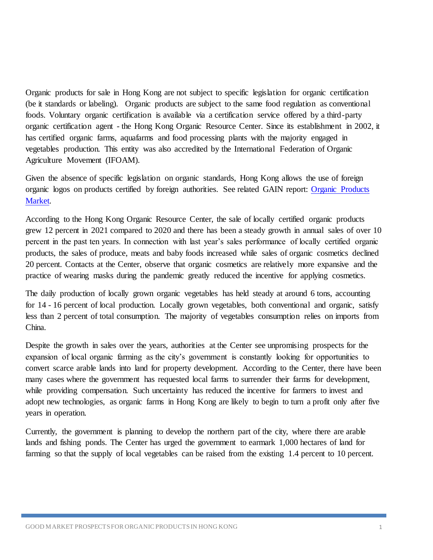Organic products for sale in Hong Kong are not subject to specific legislation for organic certification (be it standards or labeling). Organic products are subject to the same food regulation as conventional foods. Voluntary organic certification is available via a certification service offered by a third-party organic certification agent - the Hong Kong Organic Resource Center. Since its establishment in 2002, it has certified organic farms, aquafarms and food processing plants with the majority engaged in vegetables production. This entity was also accredited by the International Federation of Organic Agriculture Movement (IFOAM).

Given the absence of specific legislation on organic standards, Hong Kong allows the use of foreign organic logos on products certified by foreign authorities. See related GAIN report: [Organic Products](https://apps.fas.usda.gov/newgainapi/api/report/downloadreportbyfilename?filename=Market%20of%20Organic%20Products_Hong%20Kong_Hong%20Kong_2-26-2015.pdf)  [Market.](https://apps.fas.usda.gov/newgainapi/api/report/downloadreportbyfilename?filename=Market%20of%20Organic%20Products_Hong%20Kong_Hong%20Kong_2-26-2015.pdf)

According to the Hong Kong Organic Resource Center, the sale of locally certified organic products grew 12 percent in 2021 compared to 2020 and there has been a steady growth in annual sales of over 10 percent in the past ten years. In connection with last year's sales performance of locally certified organic products, the sales of produce, meats and baby foods increased while sales of organic cosmetics declined 20 percent. Contacts at the Center, observe that organic cosmetics are relatively more expansive and the practice of wearing masks during the pandemic greatly reduced the incentive for applying cosmetics.

The daily production of locally grown organic vegetables has held steady at around 6 tons, accounting for 14 - 16 percent of local production. Locally grown vegetables, both conventional and organic, satisfy less than 2 percent of total consumption. The majority of vegetables consumption relies on imports from China.

Despite the growth in sales over the years, authorities at the Center see unpromising prospects for the expansion of local organic farming as the city's government is constantly looking for opportunities to convert scarce arable lands into land for property development. According to the Center, there have been many cases where the government has requested local farms to surrender their farms for development, while providing compensation. Such uncertainty has reduced the incentive for farmers to invest and adopt new technologies, as organic farms in Hong Kong are likely to begin to turn a profit only after five years in operation.

Currently, the government is planning to develop the northern part of the city, where there are arable lands and fishing ponds. The Center has urged the government to earmark 1,000 hectares of land for farming so that the supply of local vegetables can be raised from the existing 1.4 percent to 10 percent.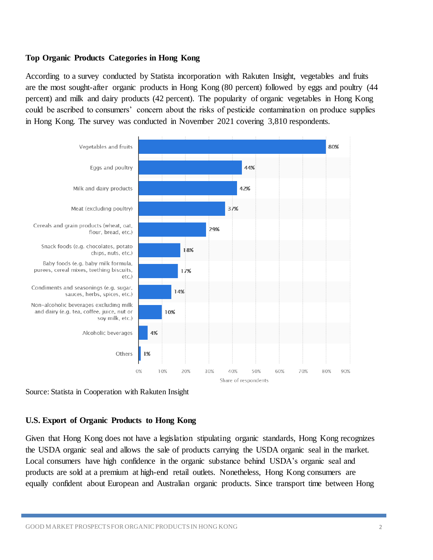### **Top Organic Products Categories in Hong Kong**

According to a survey conducted by Statista incorporation with Rakuten Insight, vegetables and fruits are the most sought-after organic products in Hong Kong (80 percent) followed by eggs and poultry (44 percent) and milk and dairy products (42 percent). The popularity of organic vegetables in Hong Kong could be ascribed to consumers' concern about the risks of pesticide contamination on produce supplies in Hong Kong. The survey was conducted in November 2021 covering 3,810 respondents.



Source: Statista in Cooperation with Rakuten Insight

#### **U.S. Export of Organic Products to Hong Kong**

Given that Hong Kong does not have a legislation stipulating organic standards, Hong Kong recognizes the USDA organic seal and allows the sale of products carrying the USDA organic seal in the market. Local consumers have high confidence in the organic substance behind USDA's organic seal and products are sold at a premium at high-end retail outlets. Nonetheless, Hong Kong consumers are equally confident about European and Australian organic products. Since transport time between Hong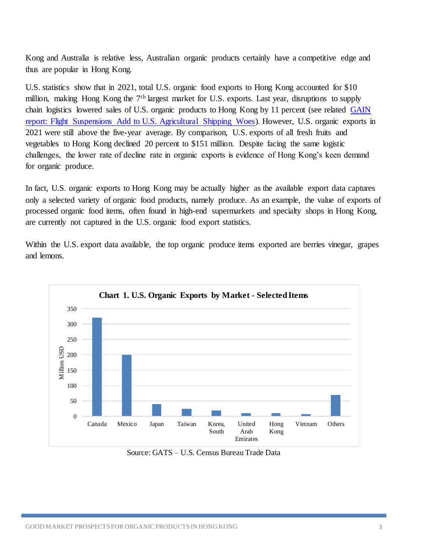Kong and Australia is relative less, Australian organic products certainly have a competitive edge and thus are popular in Hong Kong.

U.S. statistics show that in 2021, total U.S. organic food exports to Hong Kong accounted for \$10 million, making Hong Kong the 7<sup>th</sup> largest market for U.S. exports. Last year, disruptions to supply chain logistics lowered sales of U.S. organic products to Hong Kong by 11 percent (see related GAIN [report: Flight Suspensions Add to U.S. Agricultural Shipping Woes\)](https://apps.fas.usda.gov/newgainapi/api/Report/DownloadReportByFileName?fileName=Flight%20Suspensions%20Add%20to%20US%20Agricultural%20Shipping%20Woes_Hong%20Kong_Hong%20Kong_01-14-2022). However, U.S. organic exports in 2021 were still above the five-year average. By comparison, U.S. exports of all fresh fruits and vegetables to Hong Kong declined 20 percent to \$151 million. Despite facing the same logistic challenges, the lower rate of decline rate in organic exports is evidence of Hong Kong's keen demand for organic produce.

In fact, U.S. organic exports to Hong Kong may be actually higher as the available export data captures only a selected variety of organic food products, namely produce. As an example, the value of exports of processed organic food items, often found in high-end supermarkets and specialty shops in Hong Kong, are currently not captured in the U.S. organic food export statistics.

Within the U.S. export data available, the top organic produce items exported are berries vinegar, grapes and lemons.



Source: GATS – U.S. Census Bureau Trade Data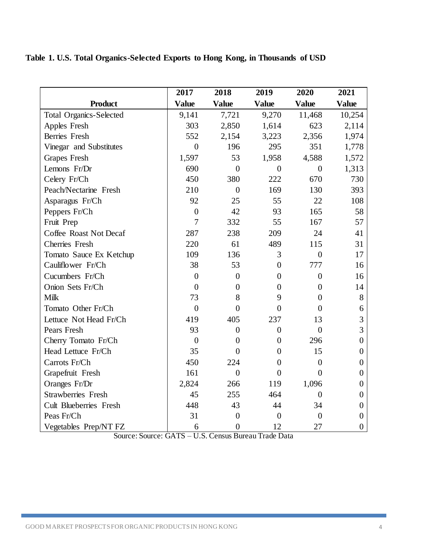# **Table 1. U.S. Total Organics-Selected Exports to Hong Kong, in Thousands of USD**

|                                | 2017             | 2018           | 2019             | 2020             | 2021             |
|--------------------------------|------------------|----------------|------------------|------------------|------------------|
| <b>Product</b>                 | <b>Value</b>     | <b>Value</b>   | <b>Value</b>     | <b>Value</b>     | <b>Value</b>     |
| <b>Total Organics-Selected</b> | 9,141            | 7,721          | 9,270            | 11,468           | 10,254           |
| Apples Fresh                   | 303              | 2,850          | 1,614            | 623              | 2,114            |
| <b>Berries</b> Fresh           | 552              | 2,154          | 3,223            | 2,356            | 1,974            |
| Vinegar and Substitutes        | $\overline{0}$   | 196            | 295              | 351              | 1,778            |
| <b>Grapes Fresh</b>            | 1,597            | 53             | 1,958            | 4,588            | 1,572            |
| Lemons Fr/Dr                   | 690              | $\overline{0}$ | $\overline{0}$   | $\overline{0}$   | 1,313            |
| Celery Fr/Ch                   | 450              | 380            | 222              | 670              | 730              |
| Peach/Nectarine Fresh          | 210              | $\overline{0}$ | 169              | 130              | 393              |
| Asparagus Fr/Ch                | 92               | 25             | 55               | 22               | 108              |
| Peppers Fr/Ch                  | $\boldsymbol{0}$ | 42             | 93               | 165              | 58               |
| Fruit Prep                     | $\overline{7}$   | 332            | 55               | 167              | 57               |
| Coffee Roast Not Decaf         | 287              | 238            | 209              | 24               | 41               |
| Cherries Fresh                 | 220              | 61             | 489              | 115              | 31               |
| Tomato Sauce Ex Ketchup        | 109              | 136            | 3                | $\overline{0}$   | 17               |
| Cauliflower Fr/Ch              | 38               | 53             | $\overline{0}$   | 777              | 16               |
| Cucumbers Fr/Ch                | $\overline{0}$   | $\overline{0}$ | $\overline{0}$   | $\overline{0}$   | 16               |
| Onion Sets Fr/Ch               | $\overline{0}$   | $\overline{0}$ | $\overline{0}$   | $\overline{0}$   | 14               |
| <b>Milk</b>                    | 73               | 8              | 9                | $\overline{0}$   | $8\,$            |
| Tomato Other Fr/Ch             | $\overline{0}$   | $\overline{0}$ | $\theta$         | $\boldsymbol{0}$ | 6                |
| Lettuce Not Head Fr/Ch         | 419              | 405            | 237              | 13               | 3                |
| Pears Fresh                    | 93               | $\overline{0}$ | $\overline{0}$   | $\overline{0}$   | 3                |
| Cherry Tomato Fr/Ch            | $\mathbf{0}$     | $\overline{0}$ | $\overline{0}$   | 296              | $\overline{0}$   |
| Head Lettuce Fr/Ch             | 35               | $\theta$       | $\overline{0}$   | 15               | $\boldsymbol{0}$ |
| Carrots Fr/Ch                  | 450              | 224            | $\overline{0}$   | $\overline{0}$   | $\overline{0}$   |
| Grapefruit Fresh               | 161              | $\overline{0}$ | $\boldsymbol{0}$ | $\overline{0}$   | $\boldsymbol{0}$ |
| Oranges Fr/Dr                  | 2,824            | 266            | 119              | 1,096            | $\overline{0}$   |
| <b>Strawberries</b> Fresh      | 45               | 255            | 464              | $\overline{0}$   | $\overline{0}$   |
| <b>Cult Blueberries Fresh</b>  | 448              | 43             | 44               | 34               | $\boldsymbol{0}$ |
| Peas Fr/Ch                     | 31               | $\overline{0}$ | $\overline{0}$   | $\overline{0}$   | $\overline{0}$   |
| Vegetables Prep/NT FZ          | 6                | $\overline{0}$ | 12               | 27               | $\boldsymbol{0}$ |

Source: Source: GATS – U.S. Census Bureau Trade Data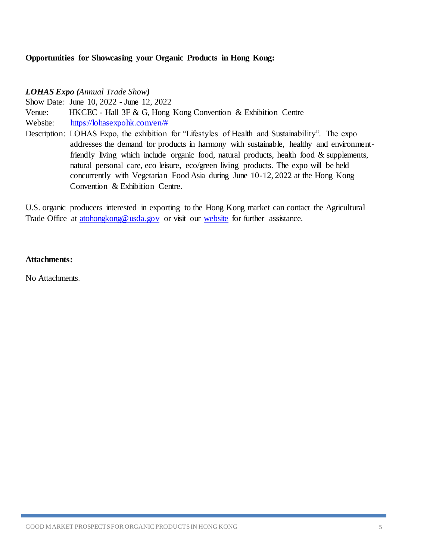### **Opportunities for Showcasing your Organic Products in Hong Kong:**

*LOHAS Expo (Annual Trade Show)*

Show Date: June 10, 2022 - June 12, 2022

Venue: HKCEC - Hall 3F & G, Hong Kong Convention & Exhibition Centre

Website: [https://lohasexpohk.com/en/#](https://gcc02.safelinks.protection.outlook.com/?url=https%3A%2F%2Flohasexpohk.com%2Fen%2F%23&data=05%7C01%7CYuenCY%40state.gov%7C900e822c2e8b46d9734708da2d98f890%7C66cf50745afe48d1a691a12b2121f44b%7C0%7C0%7C637872432281438297%7CUnknown%7CTWFpbGZsb3d8eyJWIjoiMC4wLjAwMDAiLCJQIjoiV2luMzIiLCJBTiI6Ik1haWwiLCJXVCI6Mn0%3D%7C3000%7C%7C%7C&sdata=q6v6p1KaqEja4gXBNJeZu13sRTj2%2F%2Fg04jdNWXG%2Bx9A%3D&reserved=0)

Description: LOHAS Expo, the exhibition for "Lifestyles of Health and Sustainability". The expo addresses the demand for products in harmony with sustainable, healthy and environmentfriendly living which include organic food, natural products, health food & supplements, natural personal care, eco leisure, eco/green living products. The expo will be held concurrently with Vegetarian Food Asia during June 10-12, 2022 at the Hong Kong Convention & Exhibition Centre.

U.S. organic producers interested in exporting to the Hong Kong market can contact the Agricultural Trade Office at atohong kong @ usda.gov or visit our [website](https://www.atohongkong.com.hk/) for further assistance.

#### **Attachments:**

No Attachments.